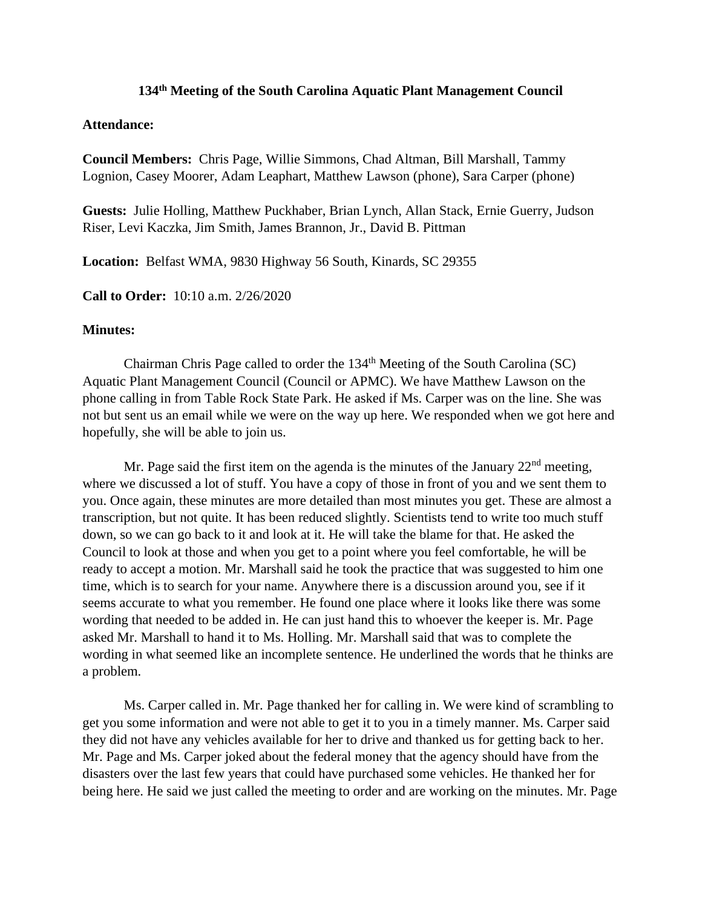## **134 th Meeting of the South Carolina Aquatic Plant Management Council**

## **Attendance:**

**Council Members:** Chris Page, Willie Simmons, Chad Altman, Bill Marshall, Tammy Lognion, Casey Moorer, Adam Leaphart, Matthew Lawson (phone), Sara Carper (phone)

**Guests:** Julie Holling, Matthew Puckhaber, Brian Lynch, Allan Stack, Ernie Guerry, Judson Riser, Levi Kaczka, Jim Smith, James Brannon, Jr., David B. Pittman

**Location:** Belfast WMA, 9830 Highway 56 South, Kinards, SC 29355

**Call to Order:** 10:10 a.m. 2/26/2020

## **Minutes:**

Chairman Chris Page called to order the 134<sup>th</sup> Meeting of the South Carolina (SC) Aquatic Plant Management Council (Council or APMC). We have Matthew Lawson on the phone calling in from Table Rock State Park. He asked if Ms. Carper was on the line. She was not but sent us an email while we were on the way up here. We responded when we got here and hopefully, she will be able to join us.

Mr. Page said the first item on the agenda is the minutes of the January  $22<sup>nd</sup>$  meeting, where we discussed a lot of stuff. You have a copy of those in front of you and we sent them to you. Once again, these minutes are more detailed than most minutes you get. These are almost a transcription, but not quite. It has been reduced slightly. Scientists tend to write too much stuff down, so we can go back to it and look at it. He will take the blame for that. He asked the Council to look at those and when you get to a point where you feel comfortable, he will be ready to accept a motion. Mr. Marshall said he took the practice that was suggested to him one time, which is to search for your name. Anywhere there is a discussion around you, see if it seems accurate to what you remember. He found one place where it looks like there was some wording that needed to be added in. He can just hand this to whoever the keeper is. Mr. Page asked Mr. Marshall to hand it to Ms. Holling. Mr. Marshall said that was to complete the wording in what seemed like an incomplete sentence. He underlined the words that he thinks are a problem.

Ms. Carper called in. Mr. Page thanked her for calling in. We were kind of scrambling to get you some information and were not able to get it to you in a timely manner. Ms. Carper said they did not have any vehicles available for her to drive and thanked us for getting back to her. Mr. Page and Ms. Carper joked about the federal money that the agency should have from the disasters over the last few years that could have purchased some vehicles. He thanked her for being here. He said we just called the meeting to order and are working on the minutes. Mr. Page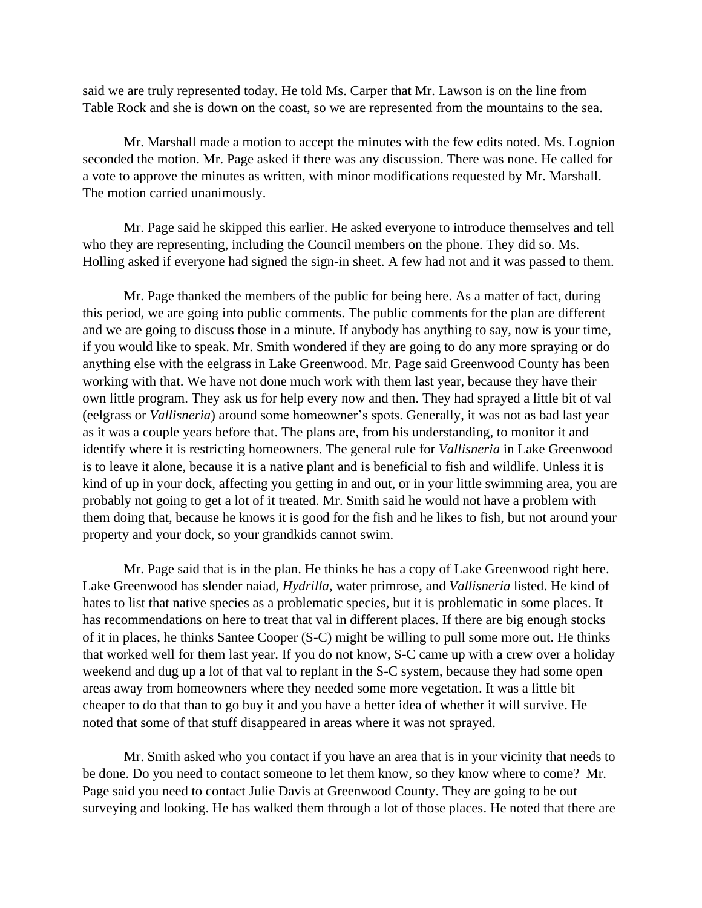said we are truly represented today. He told Ms. Carper that Mr. Lawson is on the line from Table Rock and she is down on the coast, so we are represented from the mountains to the sea.

Mr. Marshall made a motion to accept the minutes with the few edits noted. Ms. Lognion seconded the motion. Mr. Page asked if there was any discussion. There was none. He called for a vote to approve the minutes as written, with minor modifications requested by Mr. Marshall. The motion carried unanimously.

Mr. Page said he skipped this earlier. He asked everyone to introduce themselves and tell who they are representing, including the Council members on the phone. They did so. Ms. Holling asked if everyone had signed the sign-in sheet. A few had not and it was passed to them.

Mr. Page thanked the members of the public for being here. As a matter of fact, during this period, we are going into public comments. The public comments for the plan are different and we are going to discuss those in a minute. If anybody has anything to say, now is your time, if you would like to speak. Mr. Smith wondered if they are going to do any more spraying or do anything else with the eelgrass in Lake Greenwood. Mr. Page said Greenwood County has been working with that. We have not done much work with them last year, because they have their own little program. They ask us for help every now and then. They had sprayed a little bit of val (eelgrass or *Vallisneria*) around some homeowner's spots. Generally, it was not as bad last year as it was a couple years before that. The plans are, from his understanding, to monitor it and identify where it is restricting homeowners. The general rule for *Vallisneria* in Lake Greenwood is to leave it alone, because it is a native plant and is beneficial to fish and wildlife. Unless it is kind of up in your dock, affecting you getting in and out, or in your little swimming area, you are probably not going to get a lot of it treated. Mr. Smith said he would not have a problem with them doing that, because he knows it is good for the fish and he likes to fish, but not around your property and your dock, so your grandkids cannot swim.

Mr. Page said that is in the plan. He thinks he has a copy of Lake Greenwood right here. Lake Greenwood has slender naiad, *Hydrilla*, water primrose, and *Vallisneria* listed. He kind of hates to list that native species as a problematic species, but it is problematic in some places. It has recommendations on here to treat that val in different places. If there are big enough stocks of it in places, he thinks Santee Cooper (S-C) might be willing to pull some more out. He thinks that worked well for them last year. If you do not know, S-C came up with a crew over a holiday weekend and dug up a lot of that val to replant in the S-C system, because they had some open areas away from homeowners where they needed some more vegetation. It was a little bit cheaper to do that than to go buy it and you have a better idea of whether it will survive. He noted that some of that stuff disappeared in areas where it was not sprayed.

Mr. Smith asked who you contact if you have an area that is in your vicinity that needs to be done. Do you need to contact someone to let them know, so they know where to come? Mr. Page said you need to contact Julie Davis at Greenwood County. They are going to be out surveying and looking. He has walked them through a lot of those places. He noted that there are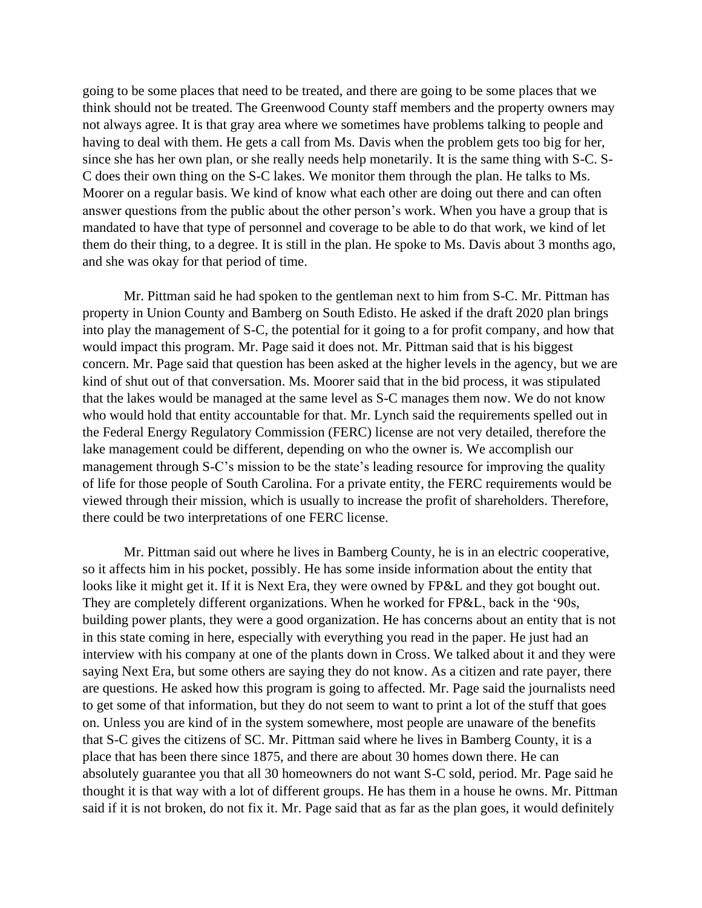going to be some places that need to be treated, and there are going to be some places that we think should not be treated. The Greenwood County staff members and the property owners may not always agree. It is that gray area where we sometimes have problems talking to people and having to deal with them. He gets a call from Ms. Davis when the problem gets too big for her, since she has her own plan, or she really needs help monetarily. It is the same thing with S-C. S-C does their own thing on the S-C lakes. We monitor them through the plan. He talks to Ms. Moorer on a regular basis. We kind of know what each other are doing out there and can often answer questions from the public about the other person's work. When you have a group that is mandated to have that type of personnel and coverage to be able to do that work, we kind of let them do their thing, to a degree. It is still in the plan. He spoke to Ms. Davis about 3 months ago, and she was okay for that period of time.

Mr. Pittman said he had spoken to the gentleman next to him from S-C. Mr. Pittman has property in Union County and Bamberg on South Edisto. He asked if the draft 2020 plan brings into play the management of S-C, the potential for it going to a for profit company, and how that would impact this program. Mr. Page said it does not. Mr. Pittman said that is his biggest concern. Mr. Page said that question has been asked at the higher levels in the agency, but we are kind of shut out of that conversation. Ms. Moorer said that in the bid process, it was stipulated that the lakes would be managed at the same level as S-C manages them now. We do not know who would hold that entity accountable for that. Mr. Lynch said the requirements spelled out in the Federal Energy Regulatory Commission (FERC) license are not very detailed, therefore the lake management could be different, depending on who the owner is. We accomplish our management through S-C's mission to be the state's leading resource for improving the quality of life for those people of South Carolina. For a private entity, the FERC requirements would be viewed through their mission, which is usually to increase the profit of shareholders. Therefore, there could be two interpretations of one FERC license.

Mr. Pittman said out where he lives in Bamberg County, he is in an electric cooperative, so it affects him in his pocket, possibly. He has some inside information about the entity that looks like it might get it. If it is Next Era, they were owned by FP&L and they got bought out. They are completely different organizations. When he worked for FP&L, back in the '90s, building power plants, they were a good organization. He has concerns about an entity that is not in this state coming in here, especially with everything you read in the paper. He just had an interview with his company at one of the plants down in Cross. We talked about it and they were saying Next Era, but some others are saying they do not know. As a citizen and rate payer, there are questions. He asked how this program is going to affected. Mr. Page said the journalists need to get some of that information, but they do not seem to want to print a lot of the stuff that goes on. Unless you are kind of in the system somewhere, most people are unaware of the benefits that S-C gives the citizens of SC. Mr. Pittman said where he lives in Bamberg County, it is a place that has been there since 1875, and there are about 30 homes down there. He can absolutely guarantee you that all 30 homeowners do not want S-C sold, period. Mr. Page said he thought it is that way with a lot of different groups. He has them in a house he owns. Mr. Pittman said if it is not broken, do not fix it. Mr. Page said that as far as the plan goes, it would definitely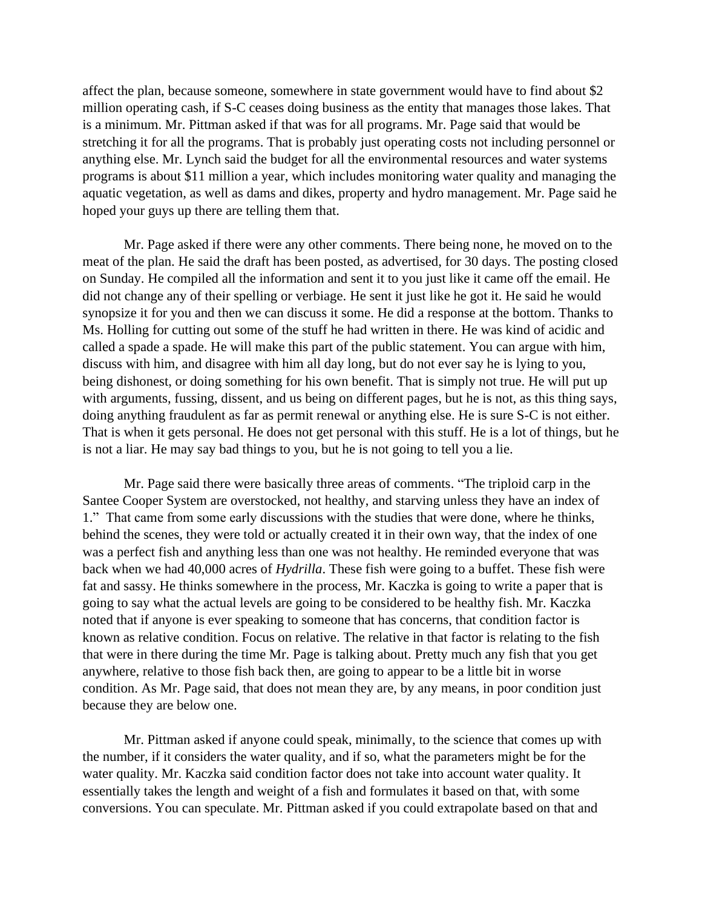affect the plan, because someone, somewhere in state government would have to find about \$2 million operating cash, if S-C ceases doing business as the entity that manages those lakes. That is a minimum. Mr. Pittman asked if that was for all programs. Mr. Page said that would be stretching it for all the programs. That is probably just operating costs not including personnel or anything else. Mr. Lynch said the budget for all the environmental resources and water systems programs is about \$11 million a year, which includes monitoring water quality and managing the aquatic vegetation, as well as dams and dikes, property and hydro management. Mr. Page said he hoped your guys up there are telling them that.

Mr. Page asked if there were any other comments. There being none, he moved on to the meat of the plan. He said the draft has been posted, as advertised, for 30 days. The posting closed on Sunday. He compiled all the information and sent it to you just like it came off the email. He did not change any of their spelling or verbiage. He sent it just like he got it. He said he would synopsize it for you and then we can discuss it some. He did a response at the bottom. Thanks to Ms. Holling for cutting out some of the stuff he had written in there. He was kind of acidic and called a spade a spade. He will make this part of the public statement. You can argue with him, discuss with him, and disagree with him all day long, but do not ever say he is lying to you, being dishonest, or doing something for his own benefit. That is simply not true. He will put up with arguments, fussing, dissent, and us being on different pages, but he is not, as this thing says, doing anything fraudulent as far as permit renewal or anything else. He is sure S-C is not either. That is when it gets personal. He does not get personal with this stuff. He is a lot of things, but he is not a liar. He may say bad things to you, but he is not going to tell you a lie.

Mr. Page said there were basically three areas of comments. "The triploid carp in the Santee Cooper System are overstocked, not healthy, and starving unless they have an index of 1." That came from some early discussions with the studies that were done, where he thinks, behind the scenes, they were told or actually created it in their own way, that the index of one was a perfect fish and anything less than one was not healthy. He reminded everyone that was back when we had 40,000 acres of *Hydrilla*. These fish were going to a buffet. These fish were fat and sassy. He thinks somewhere in the process, Mr. Kaczka is going to write a paper that is going to say what the actual levels are going to be considered to be healthy fish. Mr. Kaczka noted that if anyone is ever speaking to someone that has concerns, that condition factor is known as relative condition. Focus on relative. The relative in that factor is relating to the fish that were in there during the time Mr. Page is talking about. Pretty much any fish that you get anywhere, relative to those fish back then, are going to appear to be a little bit in worse condition. As Mr. Page said, that does not mean they are, by any means, in poor condition just because they are below one.

Mr. Pittman asked if anyone could speak, minimally, to the science that comes up with the number, if it considers the water quality, and if so, what the parameters might be for the water quality. Mr. Kaczka said condition factor does not take into account water quality. It essentially takes the length and weight of a fish and formulates it based on that, with some conversions. You can speculate. Mr. Pittman asked if you could extrapolate based on that and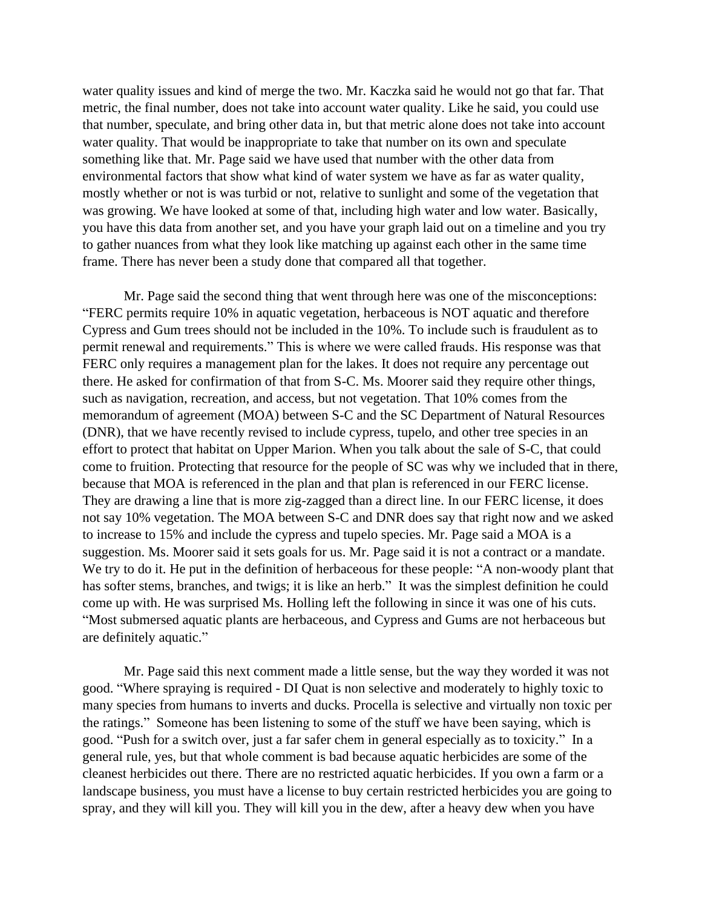water quality issues and kind of merge the two. Mr. Kaczka said he would not go that far. That metric, the final number, does not take into account water quality. Like he said, you could use that number, speculate, and bring other data in, but that metric alone does not take into account water quality. That would be inappropriate to take that number on its own and speculate something like that. Mr. Page said we have used that number with the other data from environmental factors that show what kind of water system we have as far as water quality, mostly whether or not is was turbid or not, relative to sunlight and some of the vegetation that was growing. We have looked at some of that, including high water and low water. Basically, you have this data from another set, and you have your graph laid out on a timeline and you try to gather nuances from what they look like matching up against each other in the same time frame. There has never been a study done that compared all that together.

Mr. Page said the second thing that went through here was one of the misconceptions: "FERC permits require 10% in aquatic vegetation, herbaceous is NOT aquatic and therefore Cypress and Gum trees should not be included in the 10%. To include such is fraudulent as to permit renewal and requirements." This is where we were called frauds. His response was that FERC only requires a management plan for the lakes. It does not require any percentage out there. He asked for confirmation of that from S-C. Ms. Moorer said they require other things, such as navigation, recreation, and access, but not vegetation. That 10% comes from the memorandum of agreement (MOA) between S-C and the SC Department of Natural Resources (DNR), that we have recently revised to include cypress, tupelo, and other tree species in an effort to protect that habitat on Upper Marion. When you talk about the sale of S-C, that could come to fruition. Protecting that resource for the people of SC was why we included that in there, because that MOA is referenced in the plan and that plan is referenced in our FERC license. They are drawing a line that is more zig-zagged than a direct line. In our FERC license, it does not say 10% vegetation. The MOA between S-C and DNR does say that right now and we asked to increase to 15% and include the cypress and tupelo species. Mr. Page said a MOA is a suggestion. Ms. Moorer said it sets goals for us. Mr. Page said it is not a contract or a mandate. We try to do it. He put in the definition of herbaceous for these people: "A non-woody plant that has softer stems, branches, and twigs; it is like an herb." It was the simplest definition he could come up with. He was surprised Ms. Holling left the following in since it was one of his cuts. "Most submersed aquatic plants are herbaceous, and Cypress and Gums are not herbaceous but are definitely aquatic."

Mr. Page said this next comment made a little sense, but the way they worded it was not good. "Where spraying is required - DI Quat is non selective and moderately to highly toxic to many species from humans to inverts and ducks. Procella is selective and virtually non toxic per the ratings." Someone has been listening to some of the stuff we have been saying, which is good. "Push for a switch over, just a far safer chem in general especially as to toxicity." In a general rule, yes, but that whole comment is bad because aquatic herbicides are some of the cleanest herbicides out there. There are no restricted aquatic herbicides. If you own a farm or a landscape business, you must have a license to buy certain restricted herbicides you are going to spray, and they will kill you. They will kill you in the dew, after a heavy dew when you have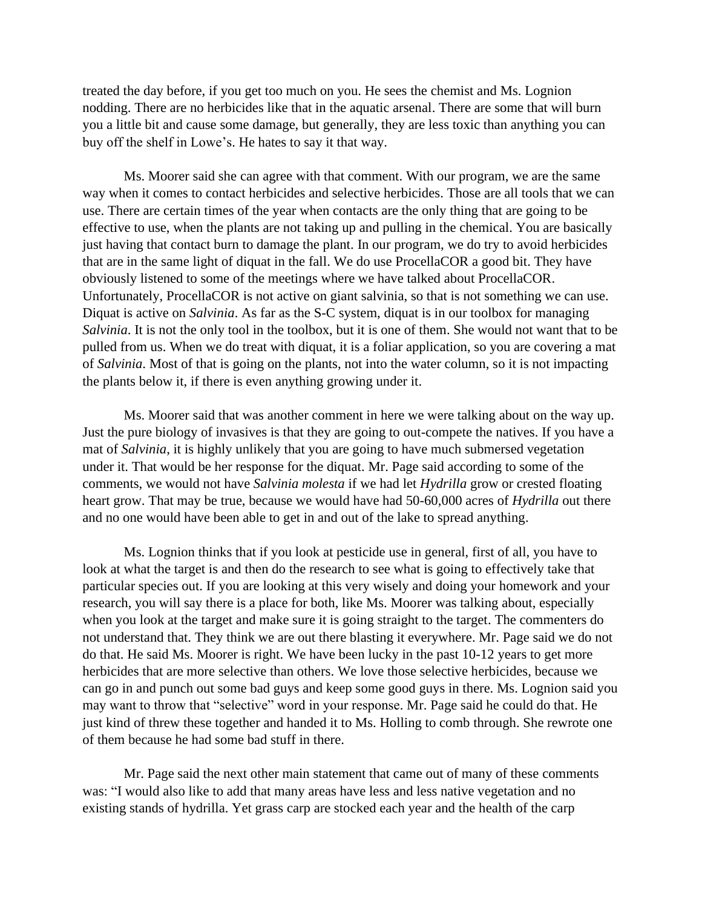treated the day before, if you get too much on you. He sees the chemist and Ms. Lognion nodding. There are no herbicides like that in the aquatic arsenal. There are some that will burn you a little bit and cause some damage, but generally, they are less toxic than anything you can buy off the shelf in Lowe's. He hates to say it that way.

Ms. Moorer said she can agree with that comment. With our program, we are the same way when it comes to contact herbicides and selective herbicides. Those are all tools that we can use. There are certain times of the year when contacts are the only thing that are going to be effective to use, when the plants are not taking up and pulling in the chemical. You are basically just having that contact burn to damage the plant. In our program, we do try to avoid herbicides that are in the same light of diquat in the fall. We do use ProcellaCOR a good bit. They have obviously listened to some of the meetings where we have talked about ProcellaCOR. Unfortunately, ProcellaCOR is not active on giant salvinia, so that is not something we can use. Diquat is active on *Salvinia*. As far as the S-C system, diquat is in our toolbox for managing *Salvinia*. It is not the only tool in the toolbox, but it is one of them. She would not want that to be pulled from us. When we do treat with diquat, it is a foliar application, so you are covering a mat of *Salvinia*. Most of that is going on the plants, not into the water column, so it is not impacting the plants below it, if there is even anything growing under it.

Ms. Moorer said that was another comment in here we were talking about on the way up. Just the pure biology of invasives is that they are going to out-compete the natives. If you have a mat of *Salvinia*, it is highly unlikely that you are going to have much submersed vegetation under it. That would be her response for the diquat. Mr. Page said according to some of the comments, we would not have *Salvinia molesta* if we had let *Hydrilla* grow or crested floating heart grow. That may be true, because we would have had 50-60,000 acres of *Hydrilla* out there and no one would have been able to get in and out of the lake to spread anything.

Ms. Lognion thinks that if you look at pesticide use in general, first of all, you have to look at what the target is and then do the research to see what is going to effectively take that particular species out. If you are looking at this very wisely and doing your homework and your research, you will say there is a place for both, like Ms. Moorer was talking about, especially when you look at the target and make sure it is going straight to the target. The commenters do not understand that. They think we are out there blasting it everywhere. Mr. Page said we do not do that. He said Ms. Moorer is right. We have been lucky in the past 10-12 years to get more herbicides that are more selective than others. We love those selective herbicides, because we can go in and punch out some bad guys and keep some good guys in there. Ms. Lognion said you may want to throw that "selective" word in your response. Mr. Page said he could do that. He just kind of threw these together and handed it to Ms. Holling to comb through. She rewrote one of them because he had some bad stuff in there.

Mr. Page said the next other main statement that came out of many of these comments was: "I would also like to add that many areas have less and less native vegetation and no existing stands of hydrilla. Yet grass carp are stocked each year and the health of the carp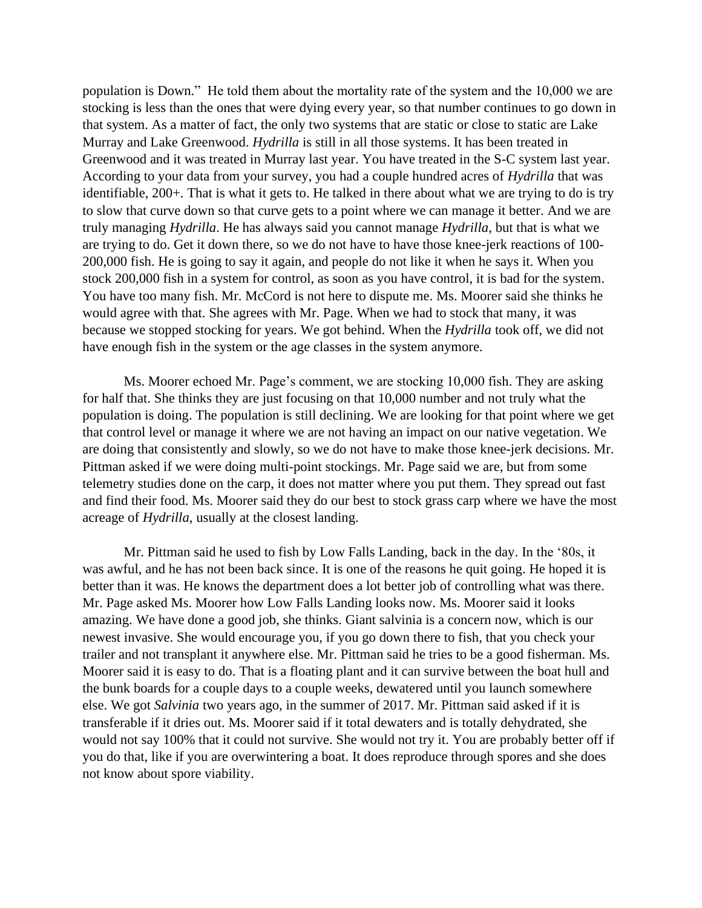population is Down." He told them about the mortality rate of the system and the 10,000 we are stocking is less than the ones that were dying every year, so that number continues to go down in that system. As a matter of fact, the only two systems that are static or close to static are Lake Murray and Lake Greenwood. *Hydrilla* is still in all those systems. It has been treated in Greenwood and it was treated in Murray last year. You have treated in the S-C system last year. According to your data from your survey, you had a couple hundred acres of *Hydrilla* that was identifiable, 200+. That is what it gets to. He talked in there about what we are trying to do is try to slow that curve down so that curve gets to a point where we can manage it better. And we are truly managing *Hydrilla*. He has always said you cannot manage *Hydrilla*, but that is what we are trying to do. Get it down there, so we do not have to have those knee-jerk reactions of 100- 200,000 fish. He is going to say it again, and people do not like it when he says it. When you stock 200,000 fish in a system for control, as soon as you have control, it is bad for the system. You have too many fish. Mr. McCord is not here to dispute me. Ms. Moorer said she thinks he would agree with that. She agrees with Mr. Page. When we had to stock that many, it was because we stopped stocking for years. We got behind. When the *Hydrilla* took off, we did not have enough fish in the system or the age classes in the system anymore.

Ms. Moorer echoed Mr. Page's comment, we are stocking 10,000 fish. They are asking for half that. She thinks they are just focusing on that 10,000 number and not truly what the population is doing. The population is still declining. We are looking for that point where we get that control level or manage it where we are not having an impact on our native vegetation. We are doing that consistently and slowly, so we do not have to make those knee-jerk decisions. Mr. Pittman asked if we were doing multi-point stockings. Mr. Page said we are, but from some telemetry studies done on the carp, it does not matter where you put them. They spread out fast and find their food. Ms. Moorer said they do our best to stock grass carp where we have the most acreage of *Hydrilla*, usually at the closest landing.

Mr. Pittman said he used to fish by Low Falls Landing, back in the day. In the '80s, it was awful, and he has not been back since. It is one of the reasons he quit going. He hoped it is better than it was. He knows the department does a lot better job of controlling what was there. Mr. Page asked Ms. Moorer how Low Falls Landing looks now. Ms. Moorer said it looks amazing. We have done a good job, she thinks. Giant salvinia is a concern now, which is our newest invasive. She would encourage you, if you go down there to fish, that you check your trailer and not transplant it anywhere else. Mr. Pittman said he tries to be a good fisherman. Ms. Moorer said it is easy to do. That is a floating plant and it can survive between the boat hull and the bunk boards for a couple days to a couple weeks, dewatered until you launch somewhere else. We got *Salvinia* two years ago, in the summer of 2017. Mr. Pittman said asked if it is transferable if it dries out. Ms. Moorer said if it total dewaters and is totally dehydrated, she would not say 100% that it could not survive. She would not try it. You are probably better off if you do that, like if you are overwintering a boat. It does reproduce through spores and she does not know about spore viability.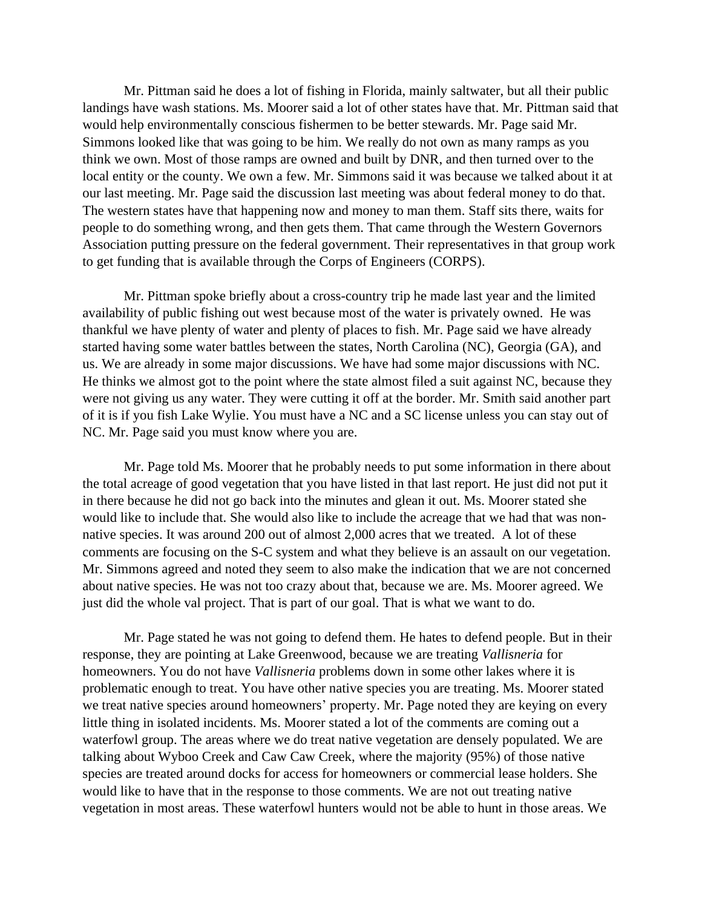Mr. Pittman said he does a lot of fishing in Florida, mainly saltwater, but all their public landings have wash stations. Ms. Moorer said a lot of other states have that. Mr. Pittman said that would help environmentally conscious fishermen to be better stewards. Mr. Page said Mr. Simmons looked like that was going to be him. We really do not own as many ramps as you think we own. Most of those ramps are owned and built by DNR, and then turned over to the local entity or the county. We own a few. Mr. Simmons said it was because we talked about it at our last meeting. Mr. Page said the discussion last meeting was about federal money to do that. The western states have that happening now and money to man them. Staff sits there, waits for people to do something wrong, and then gets them. That came through the Western Governors Association putting pressure on the federal government. Their representatives in that group work to get funding that is available through the Corps of Engineers (CORPS).

Mr. Pittman spoke briefly about a cross-country trip he made last year and the limited availability of public fishing out west because most of the water is privately owned. He was thankful we have plenty of water and plenty of places to fish. Mr. Page said we have already started having some water battles between the states, North Carolina (NC), Georgia (GA), and us. We are already in some major discussions. We have had some major discussions with NC. He thinks we almost got to the point where the state almost filed a suit against NC, because they were not giving us any water. They were cutting it off at the border. Mr. Smith said another part of it is if you fish Lake Wylie. You must have a NC and a SC license unless you can stay out of NC. Mr. Page said you must know where you are.

Mr. Page told Ms. Moorer that he probably needs to put some information in there about the total acreage of good vegetation that you have listed in that last report. He just did not put it in there because he did not go back into the minutes and glean it out. Ms. Moorer stated she would like to include that. She would also like to include the acreage that we had that was nonnative species. It was around 200 out of almost 2,000 acres that we treated. A lot of these comments are focusing on the S-C system and what they believe is an assault on our vegetation. Mr. Simmons agreed and noted they seem to also make the indication that we are not concerned about native species. He was not too crazy about that, because we are. Ms. Moorer agreed. We just did the whole val project. That is part of our goal. That is what we want to do.

Mr. Page stated he was not going to defend them. He hates to defend people. But in their response, they are pointing at Lake Greenwood, because we are treating *Vallisneria* for homeowners. You do not have *Vallisneria* problems down in some other lakes where it is problematic enough to treat. You have other native species you are treating. Ms. Moorer stated we treat native species around homeowners' property. Mr. Page noted they are keying on every little thing in isolated incidents. Ms. Moorer stated a lot of the comments are coming out a waterfowl group. The areas where we do treat native vegetation are densely populated. We are talking about Wyboo Creek and Caw Caw Creek, where the majority (95%) of those native species are treated around docks for access for homeowners or commercial lease holders. She would like to have that in the response to those comments. We are not out treating native vegetation in most areas. These waterfowl hunters would not be able to hunt in those areas. We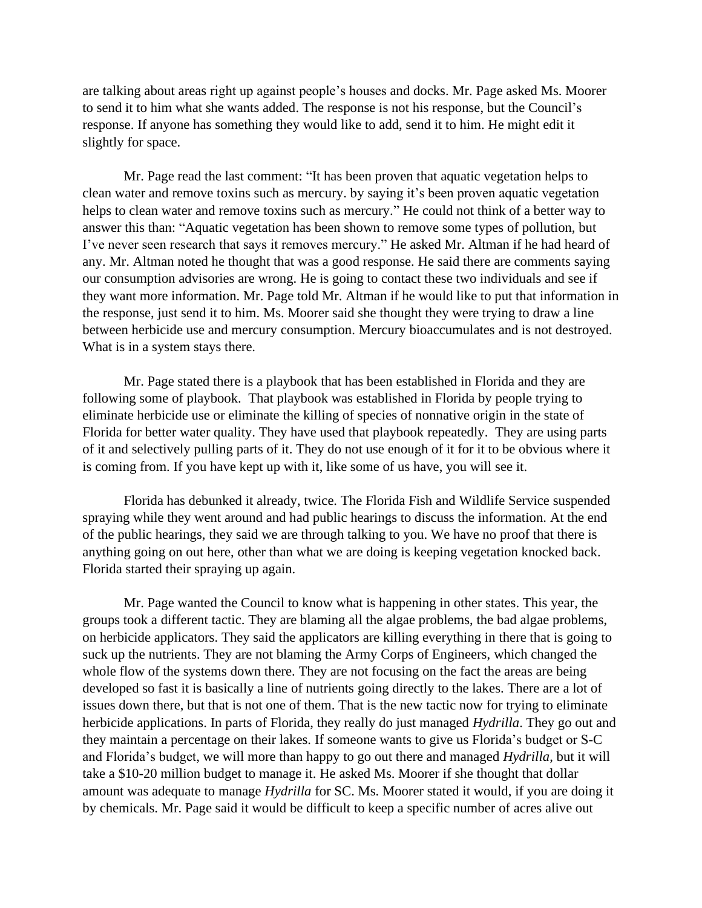are talking about areas right up against people's houses and docks. Mr. Page asked Ms. Moorer to send it to him what she wants added. The response is not his response, but the Council's response. If anyone has something they would like to add, send it to him. He might edit it slightly for space.

Mr. Page read the last comment: "It has been proven that aquatic vegetation helps to clean water and remove toxins such as mercury. by saying it's been proven aquatic vegetation helps to clean water and remove toxins such as mercury." He could not think of a better way to answer this than: "Aquatic vegetation has been shown to remove some types of pollution, but I've never seen research that says it removes mercury." He asked Mr. Altman if he had heard of any. Mr. Altman noted he thought that was a good response. He said there are comments saying our consumption advisories are wrong. He is going to contact these two individuals and see if they want more information. Mr. Page told Mr. Altman if he would like to put that information in the response, just send it to him. Ms. Moorer said she thought they were trying to draw a line between herbicide use and mercury consumption. Mercury bioaccumulates and is not destroyed. What is in a system stays there.

Mr. Page stated there is a playbook that has been established in Florida and they are following some of playbook. That playbook was established in Florida by people trying to eliminate herbicide use or eliminate the killing of species of nonnative origin in the state of Florida for better water quality. They have used that playbook repeatedly. They are using parts of it and selectively pulling parts of it. They do not use enough of it for it to be obvious where it is coming from. If you have kept up with it, like some of us have, you will see it.

Florida has debunked it already, twice. The Florida Fish and Wildlife Service suspended spraying while they went around and had public hearings to discuss the information. At the end of the public hearings, they said we are through talking to you. We have no proof that there is anything going on out here, other than what we are doing is keeping vegetation knocked back. Florida started their spraying up again.

Mr. Page wanted the Council to know what is happening in other states. This year, the groups took a different tactic. They are blaming all the algae problems, the bad algae problems, on herbicide applicators. They said the applicators are killing everything in there that is going to suck up the nutrients. They are not blaming the Army Corps of Engineers, which changed the whole flow of the systems down there. They are not focusing on the fact the areas are being developed so fast it is basically a line of nutrients going directly to the lakes. There are a lot of issues down there, but that is not one of them. That is the new tactic now for trying to eliminate herbicide applications. In parts of Florida, they really do just managed *Hydrilla*. They go out and they maintain a percentage on their lakes. If someone wants to give us Florida's budget or S-C and Florida's budget, we will more than happy to go out there and managed *Hydrilla*, but it will take a \$10-20 million budget to manage it. He asked Ms. Moorer if she thought that dollar amount was adequate to manage *Hydrilla* for SC. Ms. Moorer stated it would, if you are doing it by chemicals. Mr. Page said it would be difficult to keep a specific number of acres alive out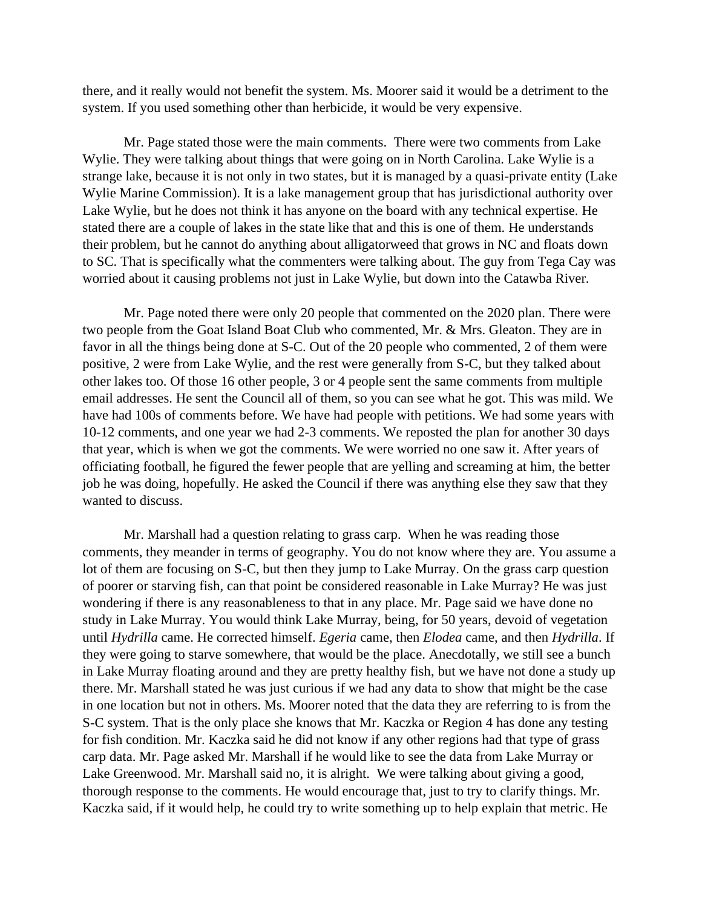there, and it really would not benefit the system. Ms. Moorer said it would be a detriment to the system. If you used something other than herbicide, it would be very expensive.

Mr. Page stated those were the main comments. There were two comments from Lake Wylie. They were talking about things that were going on in North Carolina. Lake Wylie is a strange lake, because it is not only in two states, but it is managed by a quasi-private entity (Lake Wylie Marine Commission). It is a lake management group that has jurisdictional authority over Lake Wylie, but he does not think it has anyone on the board with any technical expertise. He stated there are a couple of lakes in the state like that and this is one of them. He understands their problem, but he cannot do anything about alligatorweed that grows in NC and floats down to SC. That is specifically what the commenters were talking about. The guy from Tega Cay was worried about it causing problems not just in Lake Wylie, but down into the Catawba River.

Mr. Page noted there were only 20 people that commented on the 2020 plan. There were two people from the Goat Island Boat Club who commented, Mr. & Mrs. Gleaton. They are in favor in all the things being done at S-C. Out of the 20 people who commented, 2 of them were positive, 2 were from Lake Wylie, and the rest were generally from S-C, but they talked about other lakes too. Of those 16 other people, 3 or 4 people sent the same comments from multiple email addresses. He sent the Council all of them, so you can see what he got. This was mild. We have had 100s of comments before. We have had people with petitions. We had some years with 10-12 comments, and one year we had 2-3 comments. We reposted the plan for another 30 days that year, which is when we got the comments. We were worried no one saw it. After years of officiating football, he figured the fewer people that are yelling and screaming at him, the better job he was doing, hopefully. He asked the Council if there was anything else they saw that they wanted to discuss.

Mr. Marshall had a question relating to grass carp. When he was reading those comments, they meander in terms of geography. You do not know where they are. You assume a lot of them are focusing on S-C, but then they jump to Lake Murray. On the grass carp question of poorer or starving fish, can that point be considered reasonable in Lake Murray? He was just wondering if there is any reasonableness to that in any place. Mr. Page said we have done no study in Lake Murray. You would think Lake Murray, being, for 50 years, devoid of vegetation until *Hydrilla* came. He corrected himself. *Egeria* came, then *Elodea* came, and then *Hydrilla*. If they were going to starve somewhere, that would be the place. Anecdotally, we still see a bunch in Lake Murray floating around and they are pretty healthy fish, but we have not done a study up there. Mr. Marshall stated he was just curious if we had any data to show that might be the case in one location but not in others. Ms. Moorer noted that the data they are referring to is from the S-C system. That is the only place she knows that Mr. Kaczka or Region 4 has done any testing for fish condition. Mr. Kaczka said he did not know if any other regions had that type of grass carp data. Mr. Page asked Mr. Marshall if he would like to see the data from Lake Murray or Lake Greenwood. Mr. Marshall said no, it is alright. We were talking about giving a good, thorough response to the comments. He would encourage that, just to try to clarify things. Mr. Kaczka said, if it would help, he could try to write something up to help explain that metric. He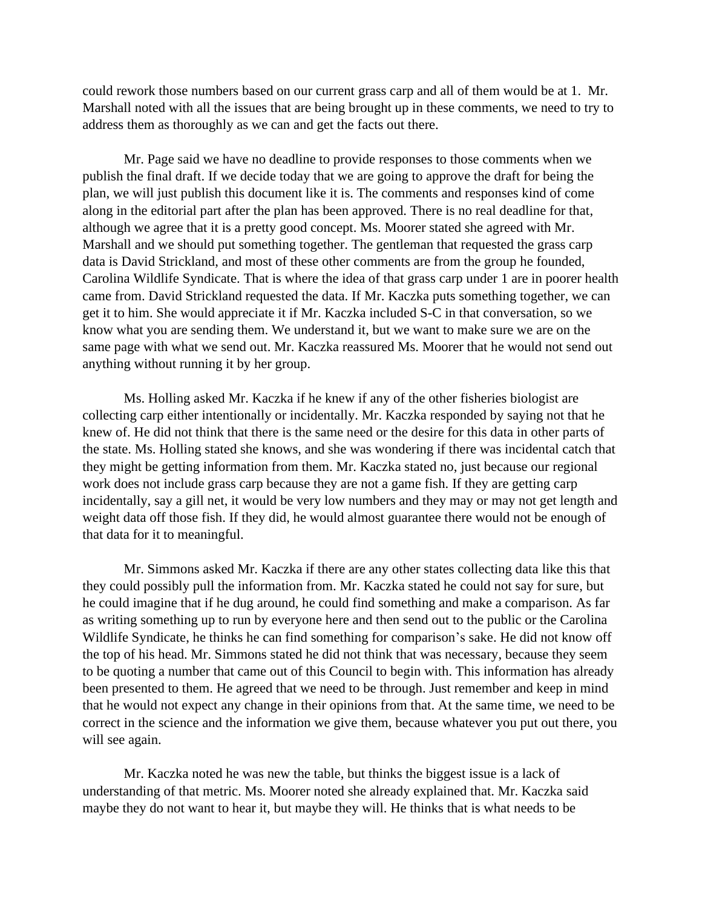could rework those numbers based on our current grass carp and all of them would be at 1. Mr. Marshall noted with all the issues that are being brought up in these comments, we need to try to address them as thoroughly as we can and get the facts out there.

Mr. Page said we have no deadline to provide responses to those comments when we publish the final draft. If we decide today that we are going to approve the draft for being the plan, we will just publish this document like it is. The comments and responses kind of come along in the editorial part after the plan has been approved. There is no real deadline for that, although we agree that it is a pretty good concept. Ms. Moorer stated she agreed with Mr. Marshall and we should put something together. The gentleman that requested the grass carp data is David Strickland, and most of these other comments are from the group he founded, Carolina Wildlife Syndicate. That is where the idea of that grass carp under 1 are in poorer health came from. David Strickland requested the data. If Mr. Kaczka puts something together, we can get it to him. She would appreciate it if Mr. Kaczka included S-C in that conversation, so we know what you are sending them. We understand it, but we want to make sure we are on the same page with what we send out. Mr. Kaczka reassured Ms. Moorer that he would not send out anything without running it by her group.

Ms. Holling asked Mr. Kaczka if he knew if any of the other fisheries biologist are collecting carp either intentionally or incidentally. Mr. Kaczka responded by saying not that he knew of. He did not think that there is the same need or the desire for this data in other parts of the state. Ms. Holling stated she knows, and she was wondering if there was incidental catch that they might be getting information from them. Mr. Kaczka stated no, just because our regional work does not include grass carp because they are not a game fish. If they are getting carp incidentally, say a gill net, it would be very low numbers and they may or may not get length and weight data off those fish. If they did, he would almost guarantee there would not be enough of that data for it to meaningful.

Mr. Simmons asked Mr. Kaczka if there are any other states collecting data like this that they could possibly pull the information from. Mr. Kaczka stated he could not say for sure, but he could imagine that if he dug around, he could find something and make a comparison. As far as writing something up to run by everyone here and then send out to the public or the Carolina Wildlife Syndicate, he thinks he can find something for comparison's sake. He did not know off the top of his head. Mr. Simmons stated he did not think that was necessary, because they seem to be quoting a number that came out of this Council to begin with. This information has already been presented to them. He agreed that we need to be through. Just remember and keep in mind that he would not expect any change in their opinions from that. At the same time, we need to be correct in the science and the information we give them, because whatever you put out there, you will see again.

Mr. Kaczka noted he was new the table, but thinks the biggest issue is a lack of understanding of that metric. Ms. Moorer noted she already explained that. Mr. Kaczka said maybe they do not want to hear it, but maybe they will. He thinks that is what needs to be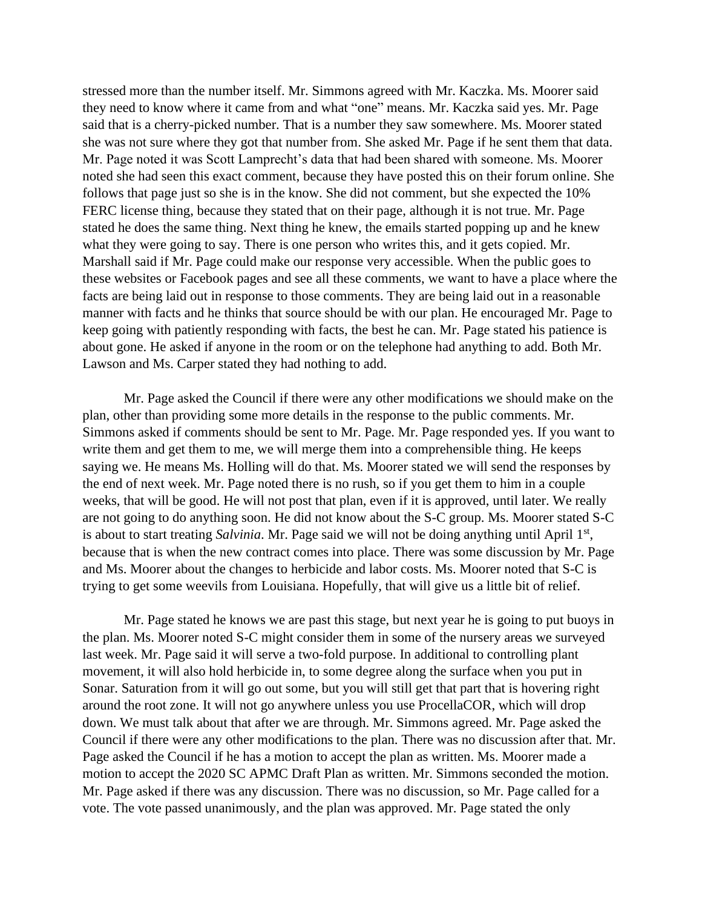stressed more than the number itself. Mr. Simmons agreed with Mr. Kaczka. Ms. Moorer said they need to know where it came from and what "one" means. Mr. Kaczka said yes. Mr. Page said that is a cherry-picked number. That is a number they saw somewhere. Ms. Moorer stated she was not sure where they got that number from. She asked Mr. Page if he sent them that data. Mr. Page noted it was Scott Lamprecht's data that had been shared with someone. Ms. Moorer noted she had seen this exact comment, because they have posted this on their forum online. She follows that page just so she is in the know. She did not comment, but she expected the 10% FERC license thing, because they stated that on their page, although it is not true. Mr. Page stated he does the same thing. Next thing he knew, the emails started popping up and he knew what they were going to say. There is one person who writes this, and it gets copied. Mr. Marshall said if Mr. Page could make our response very accessible. When the public goes to these websites or Facebook pages and see all these comments, we want to have a place where the facts are being laid out in response to those comments. They are being laid out in a reasonable manner with facts and he thinks that source should be with our plan. He encouraged Mr. Page to keep going with patiently responding with facts, the best he can. Mr. Page stated his patience is about gone. He asked if anyone in the room or on the telephone had anything to add. Both Mr. Lawson and Ms. Carper stated they had nothing to add.

Mr. Page asked the Council if there were any other modifications we should make on the plan, other than providing some more details in the response to the public comments. Mr. Simmons asked if comments should be sent to Mr. Page. Mr. Page responded yes. If you want to write them and get them to me, we will merge them into a comprehensible thing. He keeps saying we. He means Ms. Holling will do that. Ms. Moorer stated we will send the responses by the end of next week. Mr. Page noted there is no rush, so if you get them to him in a couple weeks, that will be good. He will not post that plan, even if it is approved, until later. We really are not going to do anything soon. He did not know about the S-C group. Ms. Moorer stated S-C is about to start treating *Salvinia*. Mr. Page said we will not be doing anything until April 1<sup>st</sup>, because that is when the new contract comes into place. There was some discussion by Mr. Page and Ms. Moorer about the changes to herbicide and labor costs. Ms. Moorer noted that S-C is trying to get some weevils from Louisiana. Hopefully, that will give us a little bit of relief.

Mr. Page stated he knows we are past this stage, but next year he is going to put buoys in the plan. Ms. Moorer noted S-C might consider them in some of the nursery areas we surveyed last week. Mr. Page said it will serve a two-fold purpose. In additional to controlling plant movement, it will also hold herbicide in, to some degree along the surface when you put in Sonar. Saturation from it will go out some, but you will still get that part that is hovering right around the root zone. It will not go anywhere unless you use ProcellaCOR, which will drop down. We must talk about that after we are through. Mr. Simmons agreed. Mr. Page asked the Council if there were any other modifications to the plan. There was no discussion after that. Mr. Page asked the Council if he has a motion to accept the plan as written. Ms. Moorer made a motion to accept the 2020 SC APMC Draft Plan as written. Mr. Simmons seconded the motion. Mr. Page asked if there was any discussion. There was no discussion, so Mr. Page called for a vote. The vote passed unanimously, and the plan was approved. Mr. Page stated the only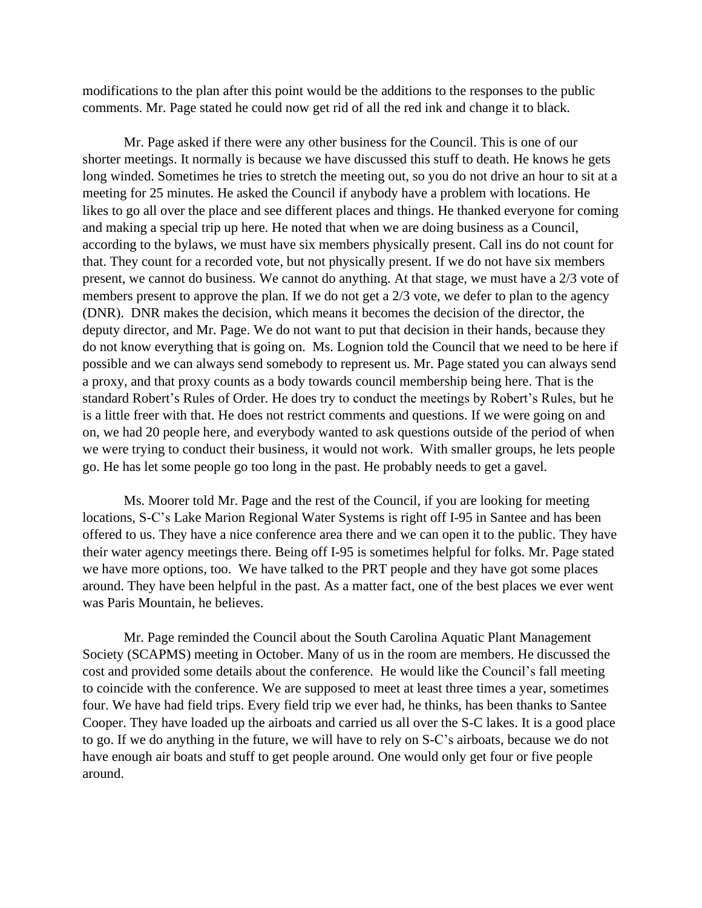modifications to the plan after this point would be the additions to the responses to the public comments. Mr. Page stated he could now get rid of all the red ink and change it to black.

Mr. Page asked if there were any other business for the Council. This is one of our shorter meetings. It normally is because we have discussed this stuff to death. He knows he gets long winded. Sometimes he tries to stretch the meeting out, so you do not drive an hour to sit at a meeting for 25 minutes. He asked the Council if anybody have a problem with locations. He likes to go all over the place and see different places and things. He thanked everyone for coming and making a special trip up here. He noted that when we are doing business as a Council, according to the bylaws, we must have six members physically present. Call ins do not count for that. They count for a recorded vote, but not physically present. If we do not have six members present, we cannot do business. We cannot do anything. At that stage, we must have a 2/3 vote of members present to approve the plan. If we do not get a 2/3 vote, we defer to plan to the agency (DNR). DNR makes the decision, which means it becomes the decision of the director, the deputy director, and Mr. Page. We do not want to put that decision in their hands, because they do not know everything that is going on. Ms. Lognion told the Council that we need to be here if possible and we can always send somebody to represent us. Mr. Page stated you can always send a proxy, and that proxy counts as a body towards council membership being here. That is the standard Robert's Rules of Order. He does try to conduct the meetings by Robert's Rules, but he is a little freer with that. He does not restrict comments and questions. If we were going on and on, we had 20 people here, and everybody wanted to ask questions outside of the period of when we were trying to conduct their business, it would not work. With smaller groups, he lets people go. He has let some people go too long in the past. He probably needs to get a gavel.

Ms. Moorer told Mr. Page and the rest of the Council, if you are looking for meeting locations, S-C's Lake Marion Regional Water Systems is right off I-95 in Santee and has been offered to us. They have a nice conference area there and we can open it to the public. They have their water agency meetings there. Being off I-95 is sometimes helpful for folks. Mr. Page stated we have more options, too. We have talked to the PRT people and they have got some places around. They have been helpful in the past. As a matter fact, one of the best places we ever went was Paris Mountain, he believes.

Mr. Page reminded the Council about the South Carolina Aquatic Plant Management Society (SCAPMS) meeting in October. Many of us in the room are members. He discussed the cost and provided some details about the conference. He would like the Council's fall meeting to coincide with the conference. We are supposed to meet at least three times a year, sometimes four. We have had field trips. Every field trip we ever had, he thinks, has been thanks to Santee Cooper. They have loaded up the airboats and carried us all over the S-C lakes. It is a good place to go. If we do anything in the future, we will have to rely on S-C's airboats, because we do not have enough air boats and stuff to get people around. One would only get four or five people around.